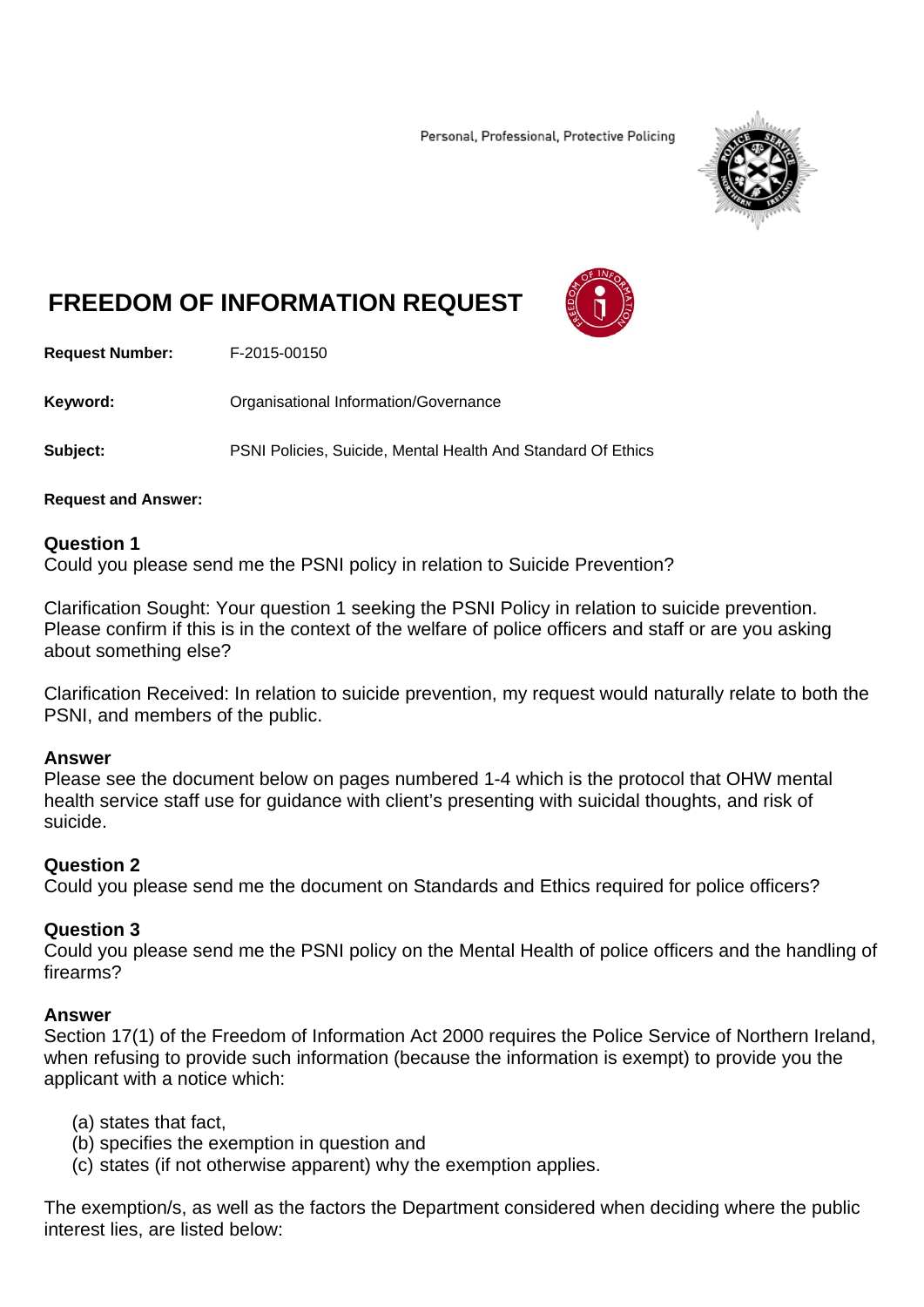Personal, Professional, Protective Policing



# **FREEDOM OF INFORMATION REQUEST**



**Request Number:** F-2015-00150

**Keyword:** Organisational Information/Governance

**Subject:** PSNI Policies, Suicide, Mental Health And Standard Of Ethics

### **Request and Answer:**

## **Question 1**

Could you please send me the PSNI policy in relation to Suicide Prevention?

Clarification Sought: Your question 1 seeking the PSNI Policy in relation to suicide prevention. Please confirm if this is in the context of the welfare of police officers and staff or are you asking about something else?

Clarification Received: In relation to suicide prevention, my request would naturally relate to both the PSNI, and members of the public.

### **Answer**

Please see the document below on pages numbered 1-4 which is the protocol that OHW mental health service staff use for guidance with client's presenting with suicidal thoughts, and risk of suicide.

# **Question 2**

Could you please send me the document on Standards and Ethics required for police officers?

# **Question 3**

Could you please send me the PSNI policy on the Mental Health of police officers and the handling of firearms?

### **Answer**

Section 17(1) of the Freedom of Information Act 2000 requires the Police Service of Northern Ireland, when refusing to provide such information (because the information is exempt) to provide you the applicant with a notice which:

- (a) states that fact,
- (b) specifies the exemption in question and
- (c) states (if not otherwise apparent) why the exemption applies.

The exemption/s, as well as the factors the Department considered when deciding where the public interest lies, are listed below: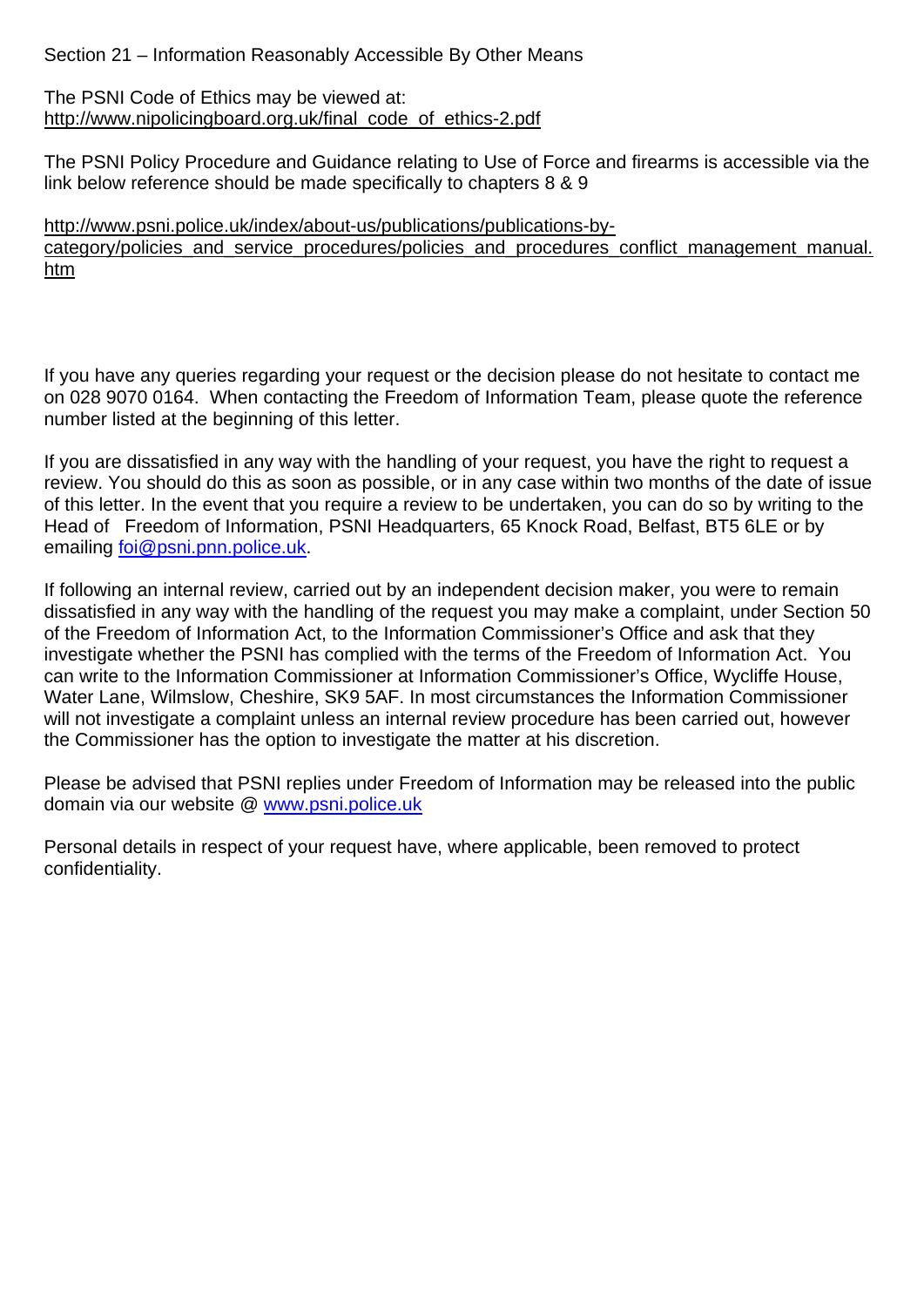Section 21 – Information Reasonably Accessible By Other Means

The PSNI Code of Ethics may be viewed at: http://www.nipolicingboard.org.uk/final\_code\_of\_ethics-2.pdf

The PSNI Policy Procedure and Guidance relating to Use of Force and firearms is accessible via the link below reference should be made specifically to chapters 8 & 9

http://www.psni.police.uk/index/about-us/publications/publications-bycategory/policies and service procedures/policies and procedures conflict management manual. htm

If you have any queries regarding your request or the decision please do not hesitate to contact me on 028 9070 0164. When contacting the Freedom of Information Team, please quote the reference number listed at the beginning of this letter.

If you are dissatisfied in any way with the handling of your request, you have the right to request a review. You should do this as soon as possible, or in any case within two months of the date of issue of this letter. In the event that you require a review to be undertaken, you can do so by writing to the Head of Freedom of Information, PSNI Headquarters, 65 Knock Road, Belfast, BT5 6LE or by emailing foi@psni.pnn.police.uk.

If following an internal review, carried out by an independent decision maker, you were to remain dissatisfied in any way with the handling of the request you may make a complaint, under Section 50 of the Freedom of Information Act, to the Information Commissioner's Office and ask that they investigate whether the PSNI has complied with the terms of the Freedom of Information Act. You can write to the Information Commissioner at Information Commissioner's Office, Wycliffe House, Water Lane, Wilmslow, Cheshire, SK9 5AF. In most circumstances the Information Commissioner will not investigate a complaint unless an internal review procedure has been carried out, however the Commissioner has the option to investigate the matter at his discretion.

Please be advised that PSNI replies under Freedom of Information may be released into the public domain via our website @ www.psni.police.uk

Personal details in respect of your request have, where applicable, been removed to protect confidentiality.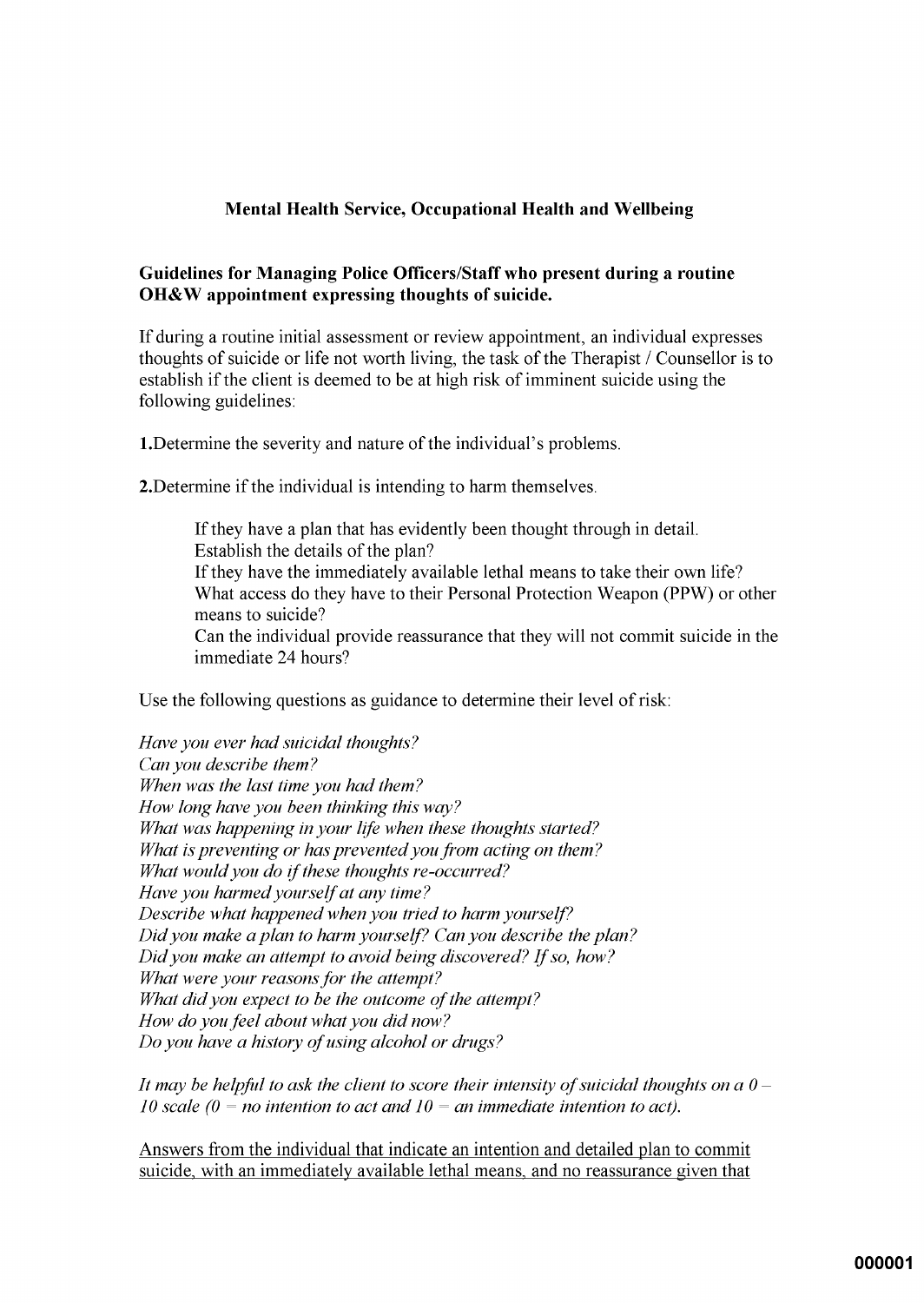# **Mental Health Service, Occupational Health and Wellbeing**

## Guidelines for Managing Police Officers/Staff who present during a routine OH&W appointment expressing thoughts of suicide.

If during a routine initial assessment or review appointment, an individual expresses thoughts of suicide or life not worth living, the task of the Therapist / Counsellor is to establish if the client is deemed to be at high risk of imminent suicide using the following guidelines:

1. Determine the severity and nature of the individual's problems.

**2.** Determine if the individual is intending to harm themselves.

If they have a plan that has evidently been thought through in detail. Establish the details of the plan? If they have the immediately available lethal means to take their own life? What access do they have to their Personal Protection Weapon (PPW) or other means to suicide? Can the individual provide reassurance that they will not commit suicide in the immediate 24 hours?

Use the following questions as guidance to determine their level of risk:

Have you ever had suicidal thoughts? Can you describe them? When was the last time you had them? How long have you been thinking this way? What was happening in your life when these thoughts started? What is preventing or has prevented you from acting on them? What would you do if these thoughts re-occurred? Have you harmed yourself at any time? Describe what happened when you tried to harm yourself? Did you make a plan to harm yourself? Can you describe the plan? Did you make an attempt to avoid being discovered? If so, how? What were your reasons for the attempt? What did you expect to be the outcome of the attempt? How do you feel about what you did now? Do you have a history of using alcohol or drugs?

It may be helpful to ask the client to score their intensity of suicidal thoughts on a  $0-$ 10 scale ( $0 = no$  intention to act and  $10 = an$  immediate intention to act).

Answers from the individual that indicate an intention and detailed plan to commit suicide, with an immediately available lethal means, and no reassurance given that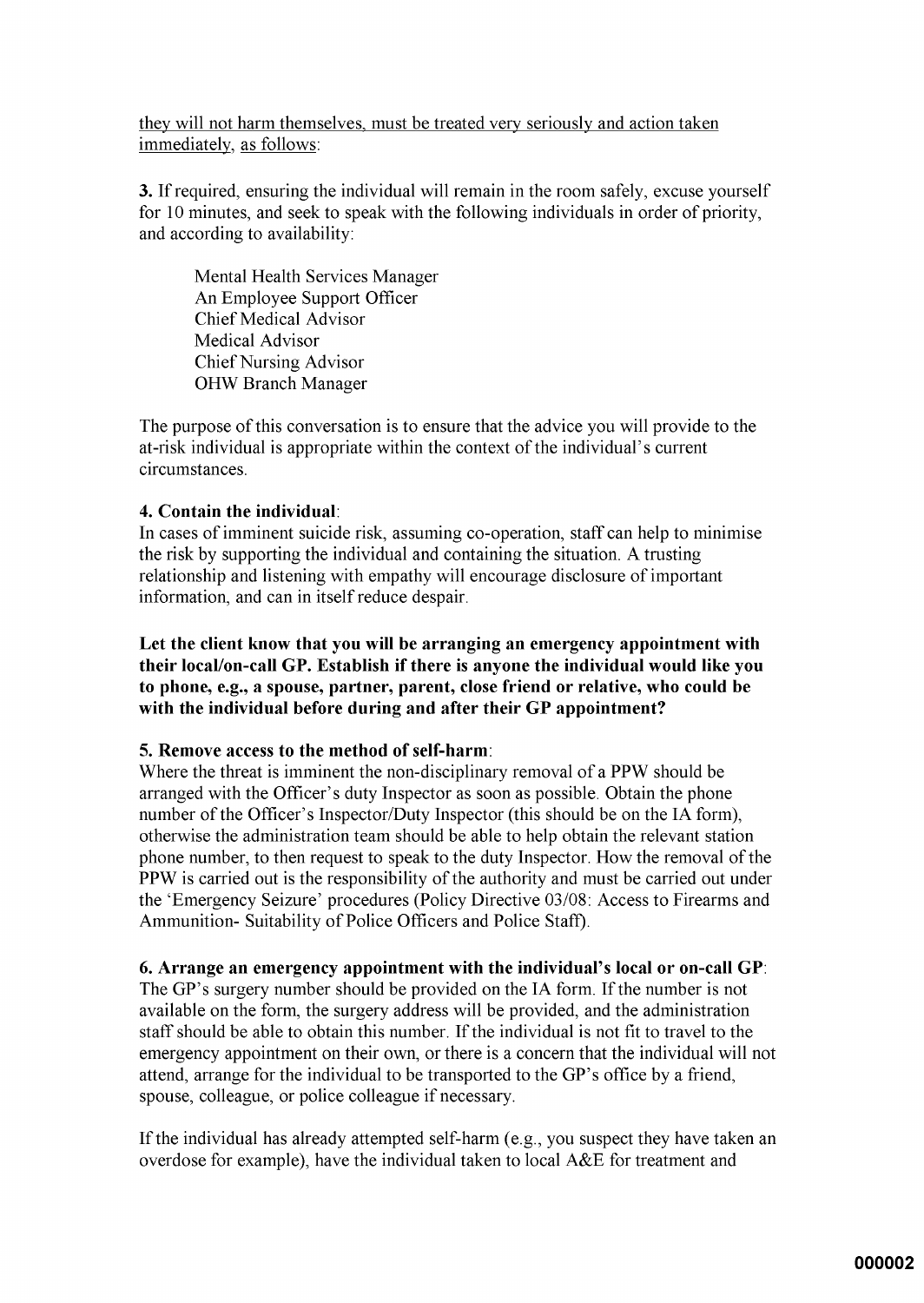they will not harm themselves, must be treated very seriously and action taken immediately, as follows:

3. If required, ensuring the individual will remain in the room safely, excuse yourself for 10 minutes, and seek to speak with the following individuals in order of priority, and according to availability:

Mental Health Services Manager An Employee Support Officer **Chief Medical Advisor** Medical Advisor **Chief Nursing Advisor OHW Branch Manager** 

The purpose of this conversation is to ensure that the advice you will provide to the at-risk individual is appropriate within the context of the individual's current circumstances.

# 4. Contain the individual:

In cases of imminent suicide risk, assuming co-operation, staff can help to minimise the risk by supporting the individual and containing the situation. A trusting relationship and listening with empathy will encourage disclosure of important information, and can in itself reduce despair.

Let the client know that you will be arranging an emergency appointment with their local/on-call GP. Establish if there is anyone the individual would like you to phone, e.g., a spouse, partner, parent, close friend or relative, who could be with the individual before during and after their GP appointment?

### 5. Remove access to the method of self-harm:

Where the threat is imminent the non-disciplinary removal of a PPW should be arranged with the Officer's duty Inspector as soon as possible. Obtain the phone number of the Officer's Inspector/Duty Inspector (this should be on the IA form), otherwise the administration team should be able to help obtain the relevant station phone number, to then request to speak to the duty Inspector. How the removal of the PPW is carried out is the responsibility of the authority and must be carried out under the 'Emergency Seizure' procedures (Policy Directive 03/08: Access to Firearms and Ammunition-Suitability of Police Officers and Police Staff).

### 6. Arrange an emergency appointment with the individual's local or on-call GP:

The GP's surgery number should be provided on the IA form. If the number is not available on the form, the surgery address will be provided, and the administration staff should be able to obtain this number. If the individual is not fit to travel to the emergency appointment on their own, or there is a concern that the individual will not attend, arrange for the individual to be transported to the GP's office by a friend, spouse, colleague, or police colleague if necessary.

If the individual has already attempted self-harm (e.g., you suspect they have taken an overdose for example), have the individual taken to local A&E for treatment and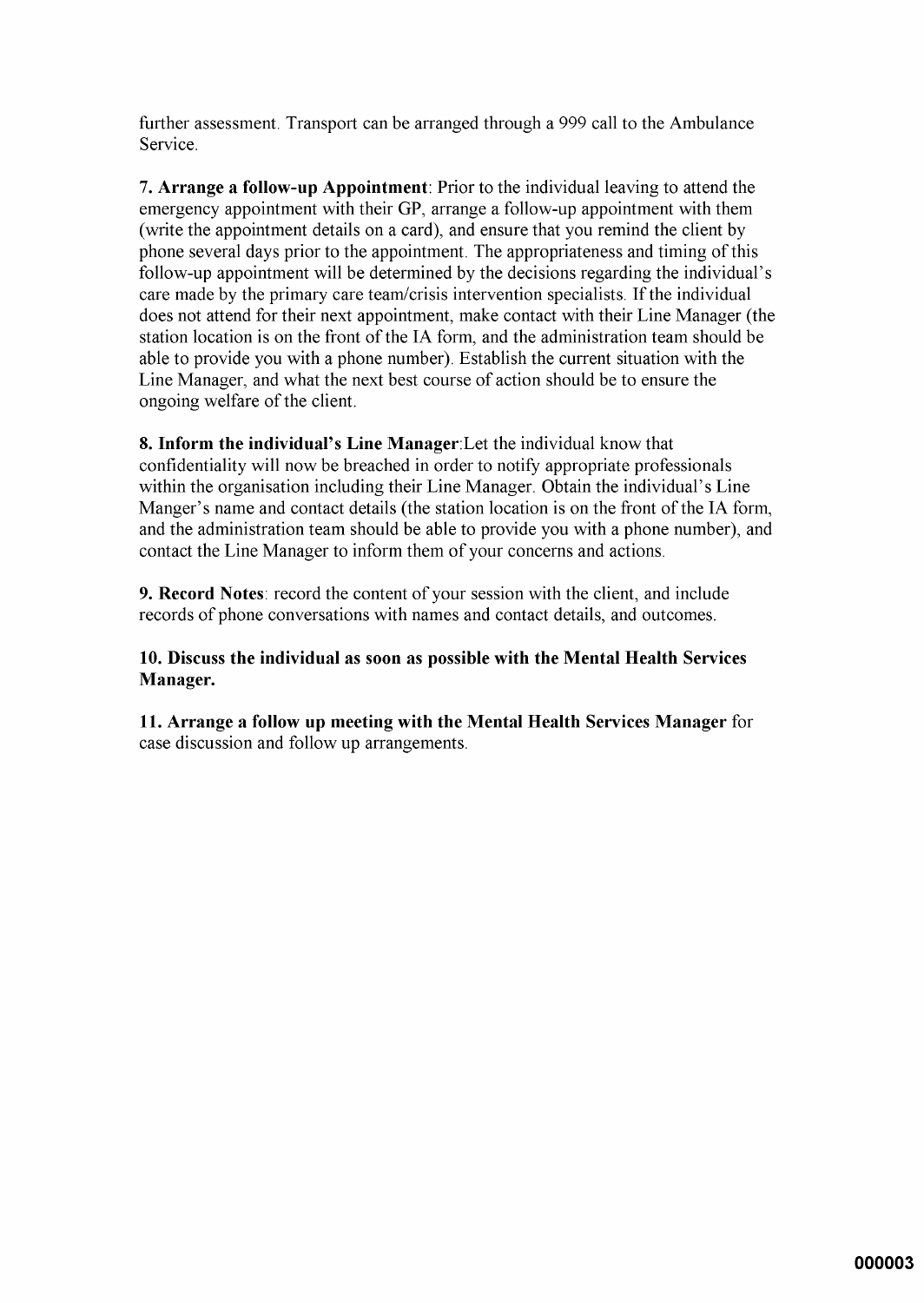further assessment. Transport can be arranged through a 999 call to the Ambulance Service.

7. Arrange a follow-up Appointment: Prior to the individual leaving to attend the emergency appointment with their GP, arrange a follow-up appointment with them (write the appointment details on a card), and ensure that you remind the client by phone several days prior to the appointment. The appropriateness and timing of this follow-up appointment will be determined by the decisions regarding the individual's care made by the primary care team/crisis intervention specialists. If the individual does not attend for their next appointment, make contact with their Line Manager (the station location is on the front of the IA form, and the administration team should be able to provide you with a phone number). Establish the current situation with the Line Manager, and what the next best course of action should be to ensure the ongoing welfare of the client.

8. Inform the individual's Line Manager: Let the individual know that confidentiality will now be breached in order to notify appropriate professionals within the organisation including their Line Manager. Obtain the individual's Line Manger's name and contact details (the station location is on the front of the IA form, and the administration team should be able to provide you with a phone number), and contact the Line Manager to inform them of your concerns and actions.

9. Record Notes: record the content of your session with the client, and include records of phone conversations with names and contact details, and outcomes.

10. Discuss the individual as soon as possible with the Mental Health Services Manager.

11. Arrange a follow up meeting with the Mental Health Services Manager for case discussion and follow up arrangements.